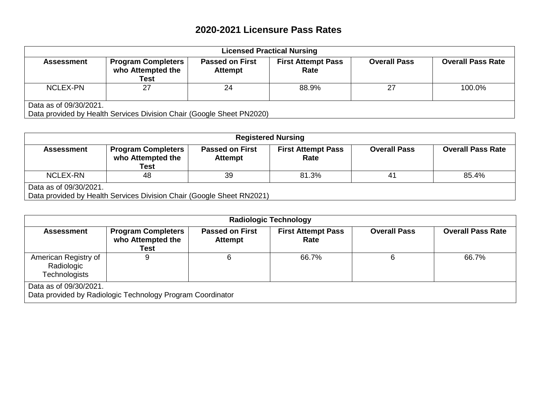## **2020-2021 Licensure Pass Rates**

| <b>Licensed Practical Nursing</b> |                                                                       |                                          |                                   |                     |                          |  |
|-----------------------------------|-----------------------------------------------------------------------|------------------------------------------|-----------------------------------|---------------------|--------------------------|--|
| <b>Assessment</b>                 | <b>Program Completers</b><br>who Attempted the<br><b>Test</b>         | <b>Passed on First</b><br><b>Attempt</b> | <b>First Attempt Pass</b><br>Rate | <b>Overall Pass</b> | <b>Overall Pass Rate</b> |  |
| NCLEX-PN                          | 27                                                                    | 24                                       | 88.9%                             | 27                  | 100.0%                   |  |
| Data as of 09/30/2021.            | Data provided by Health Services Division Chair (Google Sheet PN2020) |                                          |                                   |                     |                          |  |

| <b>Registered Nursing</b>                                                                       |                                                        |                                          |                                   |                     |                          |  |
|-------------------------------------------------------------------------------------------------|--------------------------------------------------------|------------------------------------------|-----------------------------------|---------------------|--------------------------|--|
| <b>Assessment</b>                                                                               | <b>Program Completers</b><br>who Attempted the<br>Test | <b>Passed on First</b><br><b>Attempt</b> | <b>First Attempt Pass</b><br>Rate | <b>Overall Pass</b> | <b>Overall Pass Rate</b> |  |
| <b>NCLEX-RN</b>                                                                                 | 48                                                     | 39                                       | 81.3%                             | 41                  | 85.4%                    |  |
| Data as of 09/30/2021.<br>Data provided by Health Services Division Chair (Google Sheet RN2021) |                                                        |                                          |                                   |                     |                          |  |

| <b>Radiologic Technology</b>                               |                                                               |                                          |                                   |                     |                          |  |
|------------------------------------------------------------|---------------------------------------------------------------|------------------------------------------|-----------------------------------|---------------------|--------------------------|--|
| <b>Assessment</b>                                          | <b>Program Completers</b><br>who Attempted the<br><b>Test</b> | <b>Passed on First</b><br><b>Attempt</b> | <b>First Attempt Pass</b><br>Rate | <b>Overall Pass</b> | <b>Overall Pass Rate</b> |  |
| American Registry of<br>Radiologic<br><b>Technologists</b> | 9                                                             |                                          | 66.7%                             | 6                   | 66.7%                    |  |
| Data as of 09/30/2021.                                     | Data provided by Radiologic Technology Program Coordinator    |                                          |                                   |                     |                          |  |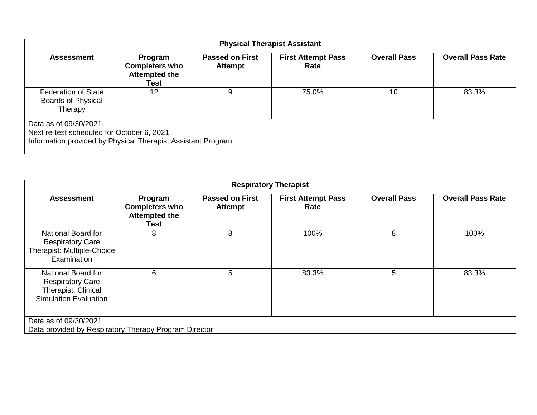| <b>Physical Therapist Assistant</b>                                                                                                  |                                                                  |                                          |                                   |                     |                          |  |
|--------------------------------------------------------------------------------------------------------------------------------------|------------------------------------------------------------------|------------------------------------------|-----------------------------------|---------------------|--------------------------|--|
| <b>Assessment</b>                                                                                                                    | Program<br><b>Completers who</b><br><b>Attempted the</b><br>Test | <b>Passed on First</b><br><b>Attempt</b> | <b>First Attempt Pass</b><br>Rate | <b>Overall Pass</b> | <b>Overall Pass Rate</b> |  |
| <b>Federation of State</b><br><b>Boards of Physical</b><br>Therapy                                                                   | 12                                                               | 9                                        | 75.0%                             | 10                  | 83.3%                    |  |
| Data as of 09/30/2021.<br>Next re-test scheduled for October 6, 2021<br>Information provided by Physical Therapist Assistant Program |                                                                  |                                          |                                   |                     |                          |  |

| <b>Respiratory Therapist</b>                                                                         |                                                                  |                                          |                                   |                     |                          |  |
|------------------------------------------------------------------------------------------------------|------------------------------------------------------------------|------------------------------------------|-----------------------------------|---------------------|--------------------------|--|
| <b>Assessment</b>                                                                                    | Program<br><b>Completers who</b><br><b>Attempted the</b><br>Test | <b>Passed on First</b><br><b>Attempt</b> | <b>First Attempt Pass</b><br>Rate | <b>Overall Pass</b> | <b>Overall Pass Rate</b> |  |
| National Board for<br><b>Respiratory Care</b><br>Therapist: Multiple-Choice<br>Examination           | 8                                                                | 8                                        | 100%                              | 8                   | 100%                     |  |
| National Board for<br><b>Respiratory Care</b><br>Therapist: Clinical<br><b>Simulation Evaluation</b> | 6                                                                | 5                                        | 83.3%                             | 5                   | 83.3%                    |  |
| Data as of 09/30/2021<br>Data provided by Respiratory Therapy Program Director                       |                                                                  |                                          |                                   |                     |                          |  |